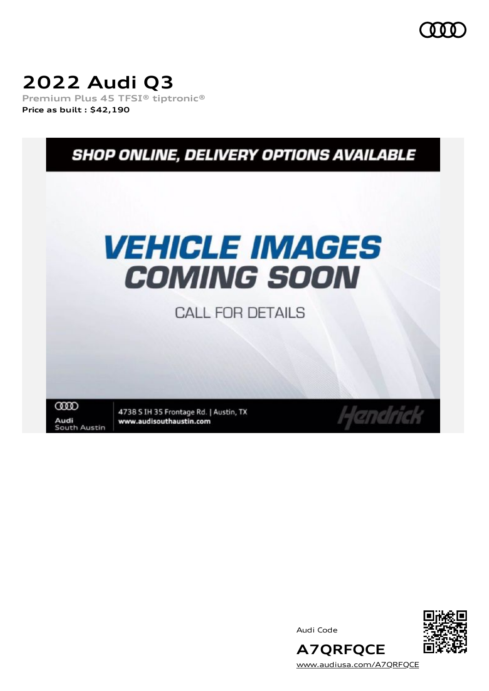## **2022 Audi Q3**

**Premium Plus 45 TFSI® tiptronic® Price as built [:](#page-11-0) \$42,190**



Audi Code



[www.audiusa.com/A7QRFQCE](https://www.audiusa.com/A7QRFQCE)

**A7QRFQCE**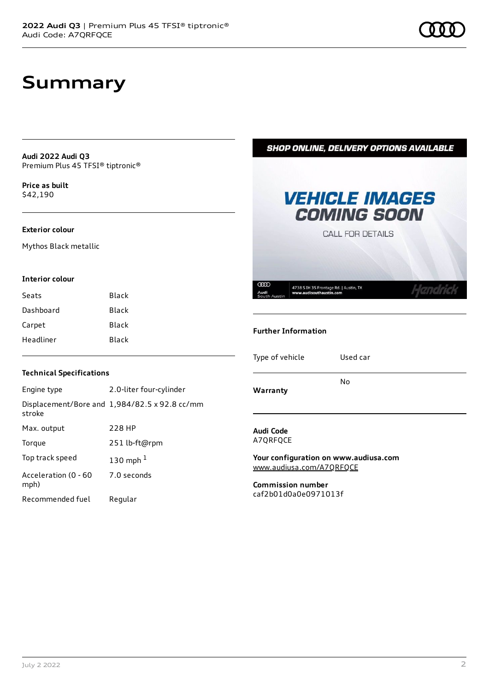### **Summary**

**Audi 2022 Audi Q3** Premium Plus 45 TFSI® tiptronic®

**Price as buil[t](#page-11-0)** \$42,190

#### **Exterior colour**

Mythos Black metallic

#### **Interior colour**

| Seats     | Black |
|-----------|-------|
| Dashboard | Black |
| Carpet    | Black |
| Headliner | Black |



**SHOP ONLINE, DELIVERY OPTIONS AVAILABLE** 

#### **Technical Specifications**

| Engine type                  | 2.0-liter four-cylinder                              |
|------------------------------|------------------------------------------------------|
| stroke                       | Displacement/Bore and $1,984/82.5 \times 92.8$ cc/mm |
| Max. output                  | 228 HP                                               |
| Torque                       | 251 lb-ft@rpm                                        |
| Top track speed              | 130 mph $1$                                          |
| Acceleration (0 - 60<br>mph) | 7.0 seconds                                          |
| Recommended fuel             | Regular                                              |

#### **Audi Code** A7QRFQCE

**Warranty**

**Your configuration on www.audiusa.com** [www.audiusa.com/A7QRFQCE](https://www.audiusa.com/A7QRFQCE)

No

**Commission number** caf2b01d0a0e0971013f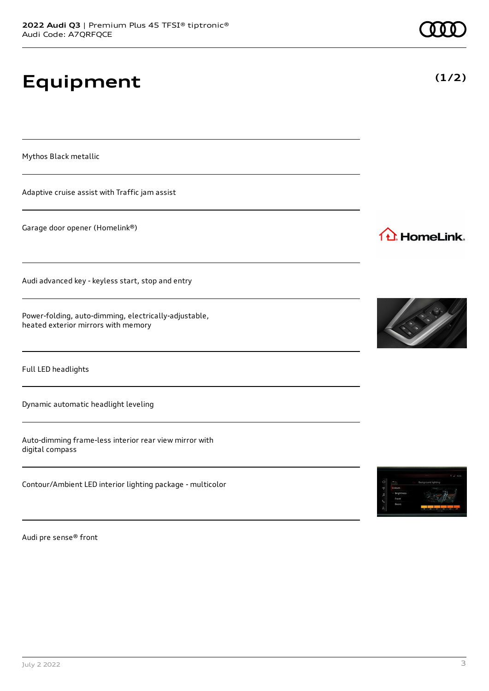## **Equipment**

Mythos Black metallic

Adaptive cruise assist with Traffic jam assist

Garage door opener (Homelink®)

Audi advanced key - keyless start, stop and entry

Power-folding, auto-dimming, electrically-adjustable, heated exterior mirrors with memory

Full LED headlights

Dynamic automatic headlight leveling

Auto-dimming frame-less interior rear view mirror with digital compass

Contour/Ambient LED interior lighting package - multicolor

Audi pre sense® front



1<sup>1</sup> HomeLink.





**(1/2)**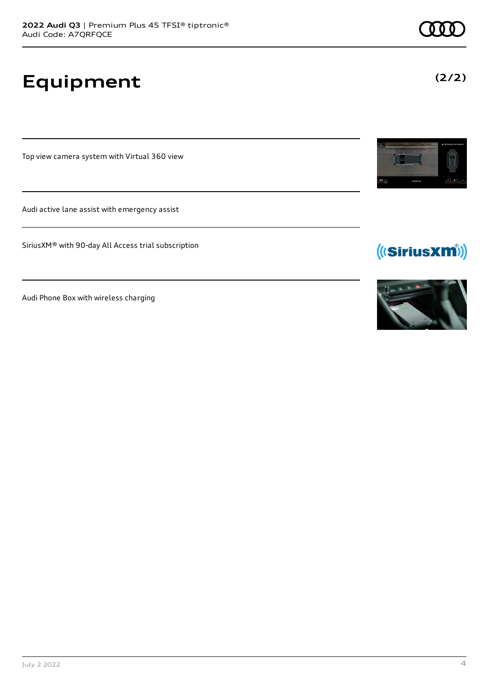# **Equipment**

Top view camera system with Virtual 360 view

Audi active lane assist with emergency assist

SiriusXM® with 90-day All Access trial subscription

Audi Phone Box with wireless charging





(((SiriusXM))

**(2/2)**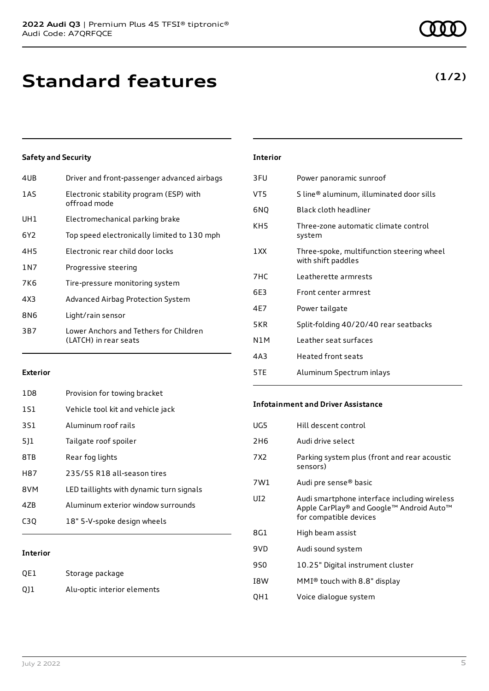## **Standard features**

### **Safety and Security**

| 4UB   | Driver and front-passenger advanced airbags                     |
|-------|-----------------------------------------------------------------|
| 1AS   | Electronic stability program (ESP) with<br>offroad mode         |
| UH1   | Electromechanical parking brake                                 |
| 6Y2   | Top speed electronically limited to 130 mph                     |
| 4H5   | Electronic rear child door locks                                |
| 1 N 7 | Progressive steering                                            |
| 7K6   | Tire-pressure monitoring system                                 |
| 4X3   | Advanced Airbag Protection System                               |
| 8N6   | Light/rain sensor                                               |
| 3B7   | Lower Anchors and Tethers for Children<br>(LATCH) in rear seats |
|       |                                                                 |

#### **Interior**

| 3FU | Power panoramic sunroof                                         |
|-----|-----------------------------------------------------------------|
| VT5 | S line® aluminum, illuminated door sills                        |
| 6NQ | Black cloth headliner                                           |
| KH5 | Three-zone automatic climate control<br>system                  |
| 1XX | Three-spoke, multifunction steering wheel<br>with shift paddles |
| 7HC | l eatherette armrests                                           |
| 6E3 | Front center armrest                                            |
| 4E7 | Power tailgate                                                  |
| 5KR | Split-folding 40/20/40 rear seatbacks                           |
| N1M | Leather seat surfaces                                           |
| 4A3 | <b>Heated front seats</b>                                       |
| 5TE | Aluminum Spectrum inlays                                        |

### **Exterior**

| 1D8 | Provision for towing bracket             |
|-----|------------------------------------------|
| 1S1 | Vehicle tool kit and vehicle jack        |
| 3S1 | Aluminum roof rails                      |
| 511 | Tailgate roof spoiler                    |
| 8TB | Rear fog lights                          |
| H87 | 235/55 R18 all-season tires              |
| 8VM | LED taillights with dynamic turn signals |
| 47B | Aluminum exterior window surrounds       |
| C30 | 18" 5-V-spoke design wheels              |
|     |                                          |

### **Interior**

| QE1 | Storage package             |
|-----|-----------------------------|
| Q11 | Alu-optic interior elements |

#### **Infotainment and Driver Assistance**

| UG5             | Hill descent control                                                                                               |
|-----------------|--------------------------------------------------------------------------------------------------------------------|
| 2H6             | Audi drive select                                                                                                  |
| 7X2             | Parking system plus (front and rear acoustic<br>sensors)                                                           |
| 7W1             | Audi pre sense <sup>®</sup> basic                                                                                  |
| UI <sub>2</sub> | Audi smartphone interface including wireless<br>Apple CarPlay® and Google™ Android Auto™<br>for compatible devices |
| 8G1             | High beam assist                                                                                                   |
| 9VD             | Audi sound system                                                                                                  |
| 9S0             | 10.25" Digital instrument cluster                                                                                  |
| I8W             | MMI® touch with 8.8" display                                                                                       |
| QH1             | Voice dialogue system                                                                                              |
|                 |                                                                                                                    |

**(1/2)**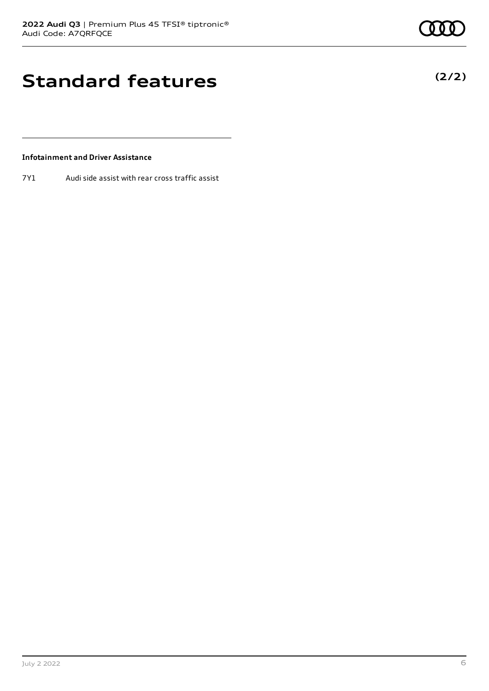**(2/2)**

## **Standard features**

### **Infotainment and Driver Assistance**

7Y1 Audi side assist with rear cross traffic assist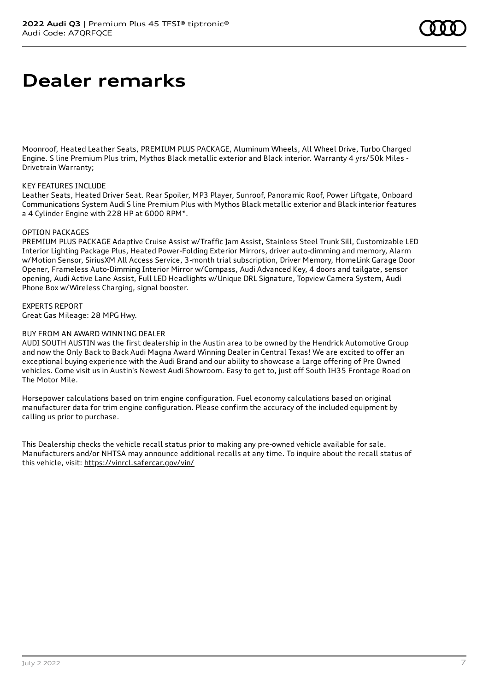### **Dealer remarks**

Moonroof, Heated Leather Seats, PREMIUM PLUS PACKAGE, Aluminum Wheels, All Wheel Drive, Turbo Charged Engine. S line Premium Plus trim, Mythos Black metallic exterior and Black interior. Warranty 4 yrs/50k Miles - Drivetrain Warranty;

### KEY FEATURES INCLUDE

Leather Seats, Heated Driver Seat. Rear Spoiler, MP3 Player, Sunroof, Panoramic Roof, Power Liftgate, Onboard Communications System Audi S line Premium Plus with Mythos Black metallic exterior and Black interior features a 4 Cylinder Engine with 228 HP at 6000 RPM\*.

### OPTION PACKAGES

PREMIUM PLUS PACKAGE Adaptive Cruise Assist w/Traffic Jam Assist, Stainless Steel Trunk Sill, Customizable LED Interior Lighting Package Plus, Heated Power-Folding Exterior Mirrors, driver auto-dimming and memory, Alarm w/Motion Sensor, SiriusXM All Access Service, 3-month trial subscription, Driver Memory, HomeLink Garage Door Opener, Frameless Auto-Dimming Interior Mirror w/Compass, Audi Advanced Key, 4 doors and tailgate, sensor opening, Audi Active Lane Assist, Full LED Headlights w/Unique DRL Signature, Topview Camera System, Audi Phone Box w/Wireless Charging, signal booster.

### EXPERTS REPORT

Great Gas Mileage: 28 MPG Hwy.

### BUY FROM AN AWARD WINNING DEALER

AUDI SOUTH AUSTIN was the first dealership in the Austin area to be owned by the Hendrick Automotive Group and now the Only Back to Back Audi Magna Award Winning Dealer in Central Texas! We are excited to offer an exceptional buying experience with the Audi Brand and our ability to showcase a Large offering of Pre Owned vehicles. Come visit us in Austin's Newest Audi Showroom. Easy to get to, just off South IH35 Frontage Road on The Motor Mile.

Horsepower calculations based on trim engine configuration. Fuel economy calculations based on original manufacturer data for trim engine configuration. Please confirm the accuracy of the included equipment by calling us prior to purchase.

This Dealership checks the vehicle recall status prior to making any pre-owned vehicle available for sale. Manufacturers and/or NHTSA may announce additional recalls at any time. To inquire about the recall status of this vehicle, visit: <https://vinrcl.safercar.gov/vin/>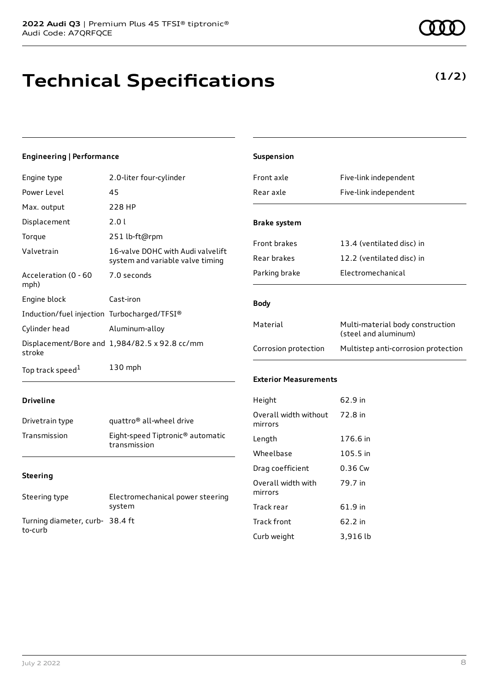### **Technical Specifications**

### **Engineering | Performance**

| Engine type                                 | 2.0-liter four-cylinder                                               |
|---------------------------------------------|-----------------------------------------------------------------------|
| Power Level                                 | 45                                                                    |
| Max. output                                 | 228 HP                                                                |
| Displacement                                | 2.0 L                                                                 |
| Torque                                      | 251 lb-ft@rpm                                                         |
| Valvetrain                                  | 16-valve DOHC with Audi valvelift<br>system and variable valve timing |
| Acceleration (0 - 60<br>mph)                | 7.0 seconds                                                           |
| Engine block                                | Cast-iron                                                             |
| Induction/fuel injection Turbocharged/TFSI® |                                                                       |
| Cylinder head                               | Aluminum-alloy                                                        |
| stroke                                      | Displacement/Bore and 1,984/82.5 x 92.8 cc/mm                         |
| Top track speed <sup>1</sup>                | $130$ mph                                                             |

| <b>Suspension</b>                |                                                          |
|----------------------------------|----------------------------------------------------------|
| Front axle                       | Five-link independent                                    |
| Rear axle                        | Five-link independent                                    |
| <b>Brake system</b>              |                                                          |
| <b>Front brakes</b>              | 13.4 (ventilated disc) in                                |
| Rear brakes                      | 12.2 (ventilated disc) in                                |
| Parking brake                    | Electromechanical                                        |
| <b>Body</b>                      |                                                          |
| Material                         | Multi-material body construction<br>(steel and aluminum) |
| Corrosion protection             | Multistep anti-corrosion protection                      |
| <b>Exterior Measurements</b>     |                                                          |
| Height                           | 62.9 in                                                  |
| Overall width without<br>mirrors | 72.8 in                                                  |
| Length                           | 176.6 in                                                 |
| Wheelbase                        | 105.5 in                                                 |
| Drag coefficient                 | 0.36 Cw                                                  |
| Overall width with<br>mirrors    | 79.7 in                                                  |
| Track rear                       | 61.9 in                                                  |

Track front 62.2 in Curb weight 3,916 lb

#### **Driveline**

| Drivetrain type | quattro <sup>®</sup> all-wheel drive                         |
|-----------------|--------------------------------------------------------------|
| Transmission    | Eight-speed Tiptronic <sup>®</sup> automatic<br>transmission |

### **Steering**

| Steering type                             | Electromechanical power steering<br>system |
|-------------------------------------------|--------------------------------------------|
| Turning diameter, curb-38.4 ft<br>to-curb |                                            |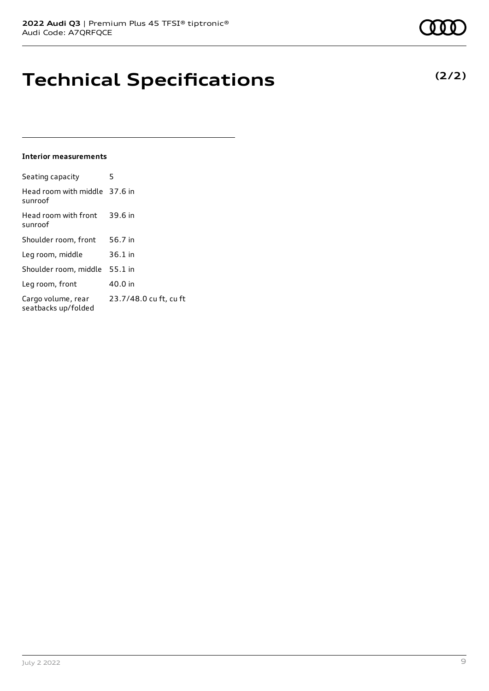### **Technical Specifications**

#### **Interior measurements**

| Seating capacity                          | 5                      |
|-------------------------------------------|------------------------|
| Head room with middle 37.6 in<br>sunroof  |                        |
| Head room with front<br>sunroof           | 39.6 in                |
| Shoulder room, front                      | 56.7 in                |
| Leg room, middle                          | 36.1 in                |
| Shoulder room, middle                     | 55.1 in                |
| Leg room, front                           | 40.0 in                |
| Cargo volume, rear<br>seatbacks up/folded | 23.7/48.0 cu ft, cu ft |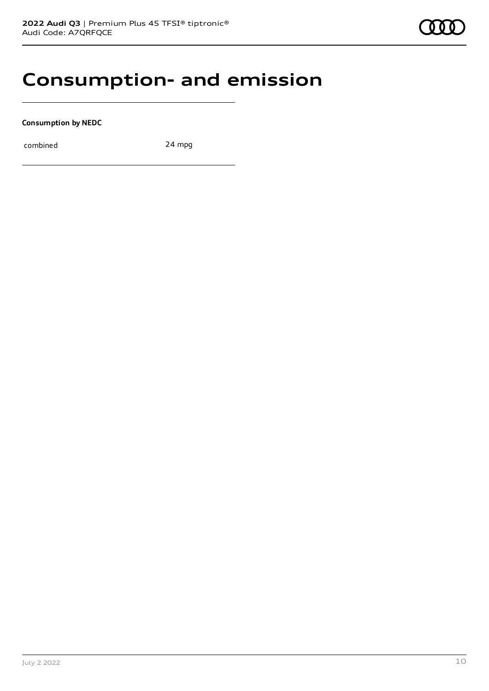### **Consumption- and emission**

**Consumption by NEDC**

combined 24 mpg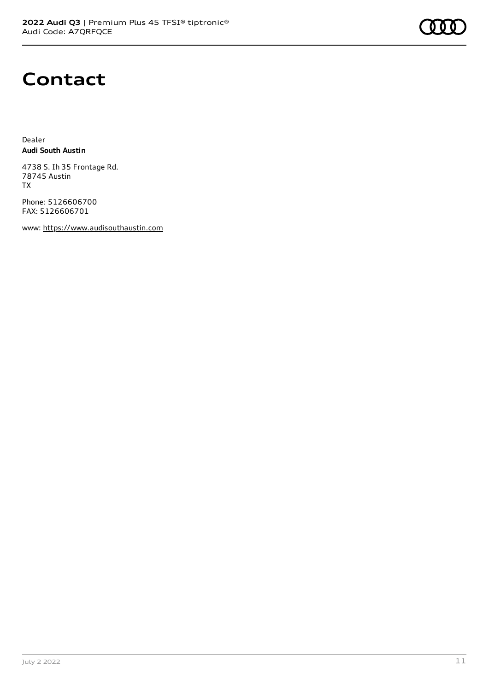

### **Contact**

Dealer **Audi South Austin**

4738 S. Ih 35 Frontage Rd. 78745 Austin TX

Phone: 5126606700 FAX: 5126606701

www: [https://www.audisouthaustin.com](https://www.audisouthaustin.com/)